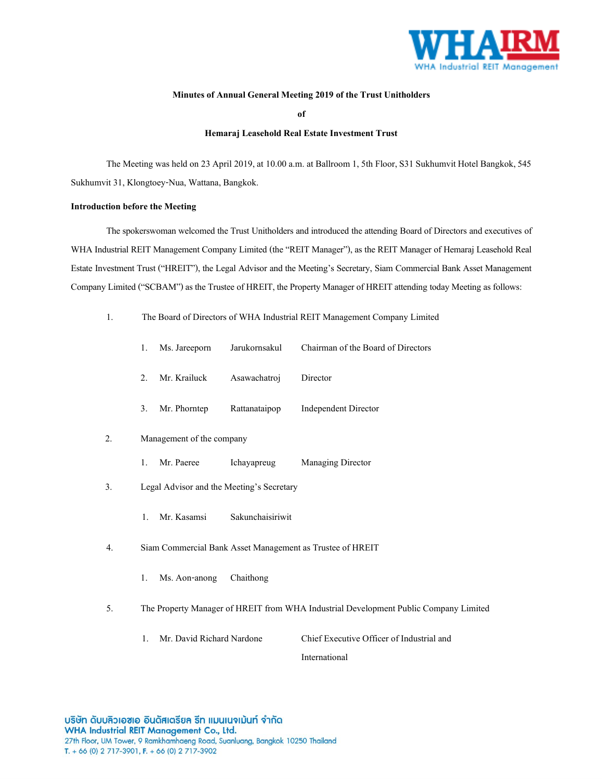

## **Minutes of Annual General Meeting 2019 of the Trust Unitholders**

**of**

## **Hemaraj Leasehold Real Estate Investment Trust**

The Meeting was held on 23 April 2019, at 10.00 a.m. at Ballroom 1, 5th Floor, S31 Sukhumvit Hotel Bangkok, 545 Sukhumvit 31, Klongtoey-Nua, Wattana, Bangkok.

#### **Introduction before the Meeting**

The spokerswoman welcomed the Trust Unitholders and introduced the attending Board of Directors and executives of WHA Industrial REIT Management Company Limited (the "REIT Manager"), as the REIT Manager of Hemaraj Leasehold Real Estate Investment Trust ("HREIT"), the Legal Advisor and the Meeting's Secretary, Siam Commercial Bank Asset Management Company Limited ("SCBAM") as the Trustee of HREIT, the Property Manager of HREIT attending today Meeting as follows:

1. The Board of Directors of WHA Industrial REIT Management Company Limited

|    | 1.                                                        | Ms. Jareeporn             | Jarukornsakul    | Chairman of the Board of Directors                                                   |  |  |
|----|-----------------------------------------------------------|---------------------------|------------------|--------------------------------------------------------------------------------------|--|--|
|    | 2.                                                        | Mr. Krailuck              | Asawachatroj     | Director                                                                             |  |  |
|    | 3.                                                        | Mr. Phorntep              | Rattanataipop    | <b>Independent Director</b>                                                          |  |  |
| 2. | Management of the company                                 |                           |                  |                                                                                      |  |  |
|    | 1.                                                        | Mr. Paeree                | Ichayapreug      | Managing Director                                                                    |  |  |
| 3. | Legal Advisor and the Meeting's Secretary                 |                           |                  |                                                                                      |  |  |
|    | 1.                                                        | Mr. Kasamsi               | Sakunchaisiriwit |                                                                                      |  |  |
| 4. | Siam Commercial Bank Asset Management as Trustee of HREIT |                           |                  |                                                                                      |  |  |
|    | 1.                                                        | Ms. Aon-anong             | Chaithong        |                                                                                      |  |  |
| 5. |                                                           |                           |                  | The Property Manager of HREIT from WHA Industrial Development Public Company Limited |  |  |
|    | 1.                                                        | Mr. David Richard Nardone |                  | Chief Executive Officer of Industrial and                                            |  |  |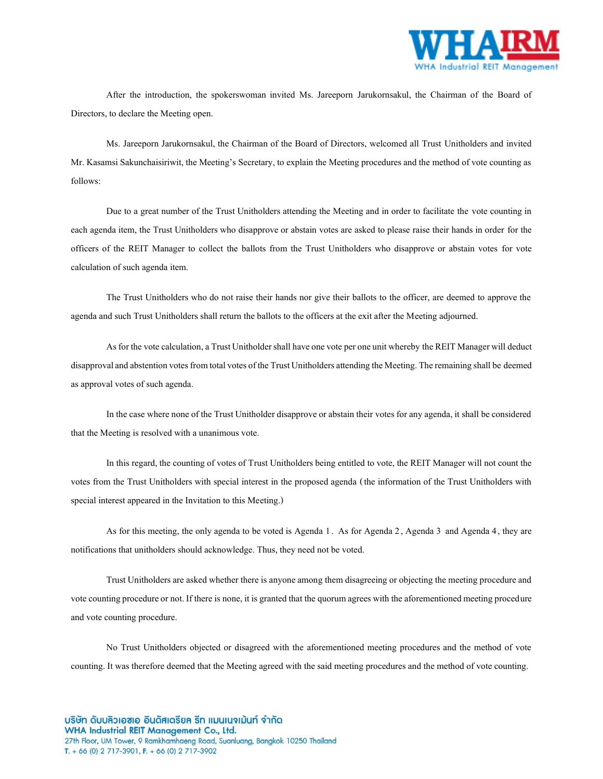

After the introduction, the spokerswoman invited Ms. Jareeporn Jarukornsakul, the Chairman of the Board of Directors, to declare the Meeting open.

Ms. Jareeporn Jarukornsakul, the Chairman of the Board of Directors, welcomed all Trust Unitholders and invited Mr. Kasamsi Sakunchaisiriwit, the Meeting's Secretary, to explain the Meeting procedures and the method of vote counting as follows:

Due to a great number of the Trust Unitholders attending the Meeting and in order to facilitate the vote counting in each agenda item, the Trust Unitholders who disapprove or abstain votes are asked to please raise their hands in order for the officers of the REIT Manager to collect the ballots from the Trust Unitholders who disapprove or abstain votes for vote calculation of such agenda item.

The Trust Unitholders who do not raise their hands nor give their ballots to the officer, are deemed to approve the agenda and such Trust Unitholders shall return the ballots to the officers at the exit after the Meeting adjourned.

As for the vote calculation, a Trust Unitholder shall have one vote per one unit whereby the REIT Manager will deduct disapproval and abstention votes from total votes of the Trust Unitholders attending the Meeting. The remaining shall be deemed as approval votes of such agenda.

In the case where none of the Trust Unitholder disapprove or abstain their votes for any agenda, it shall be considered that the Meeting is resolved with a unanimous vote.

In this regard, the counting of votes of Trust Unitholders being entitled to vote, the REIT Manager will not count the votes from the Trust Unitholders with special interest in the proposed agenda (the information of the Trust Unitholders with special interest appeared in the Invitation to this Meeting.)

As for this meeting, the only agenda to be voted is Agenda 1 . As for Agenda 2, Agenda 3 and Agenda 4, they are notifications that unitholders should acknowledge. Thus, they need not be voted.

Trust Unitholders are asked whether there is anyone among them disagreeing or objecting the meeting procedure and vote counting procedure or not. If there is none, it is granted that the quorum agrees with the aforementioned meeting procedure and vote counting procedure.

No Trust Unitholders objected or disagreed with the aforementioned meeting procedures and the method of vote counting. It was therefore deemed that the Meeting agreed with the said meeting procedures and the method of vote counting.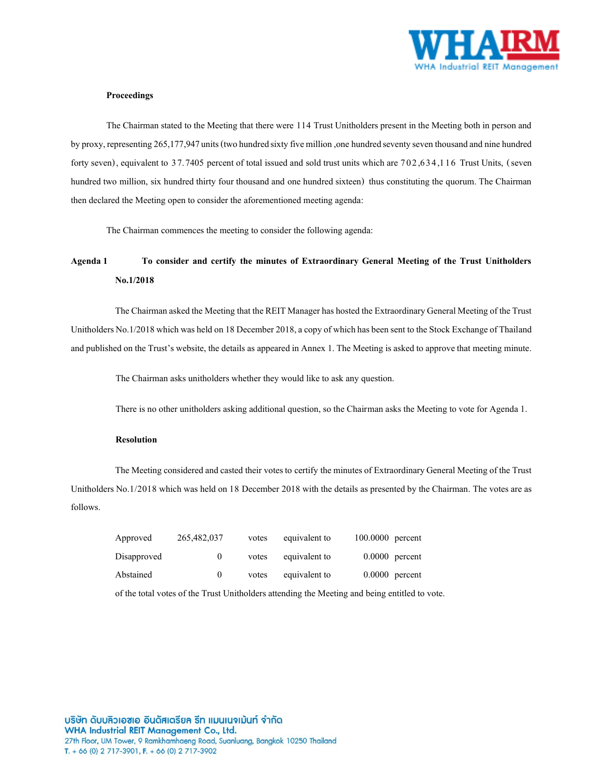

#### **Proceedings**

The Chairman stated to the Meeting that there were 114 Trust Unitholders present in the Meeting both in person and by proxy, representing265,177,947units (two hundred sixty five million ,one hundred seventy seven thousand and nine hundred forty seven), equivalent to 37.7405 percent of total issued and sold trust units which are 702,6 34,1 16 Trust Units, (seven hundred two million, six hundred thirty four thousand and one hundred sixteen) thus constituting the quorum. The Chairman then declared the Meeting open to consider the aforementioned meeting agenda:

The Chairman commences the meeting to consider the following agenda:

# **Agenda 1 To consider and certify the minutes of Extraordinary General Meeting of the Trust Unitholders No.1/2018**

The Chairman asked the Meeting that the REIT Manager has hosted the Extraordinary General Meeting of the Trust Unitholders No.1/2018 which was held on 18 December 2018, a copy of which has been sent to the Stock Exchange of Thailand and published on the Trust's website, the details as appeared in Annex 1. The Meeting is asked to approve that meeting minute.

The Chairman asks unitholders whether they would like to ask any question.

There is no other unitholders asking additional question, so the Chairman asks the Meeting to vote for Agenda 1.

# **Resolution**

The Meeting considered and casted their votes to certify the minutes of Extraordinary General Meeting of the Trust Unitholders No.1/2018 which was held on 18 December 2018 with the details as presented by the Chairman. The votes are as follows.

| Approved    | 265,482,037 | votes | equivalent to | 100.0000 percent |
|-------------|-------------|-------|---------------|------------------|
| Disapproved | v           | votes | equivalent to | $0.0000$ percent |
| Abstained   | $\theta$    | votes | equivalent to | $0.0000$ percent |

of the total votes of the Trust Unitholders attending the Meeting and being entitled to vote.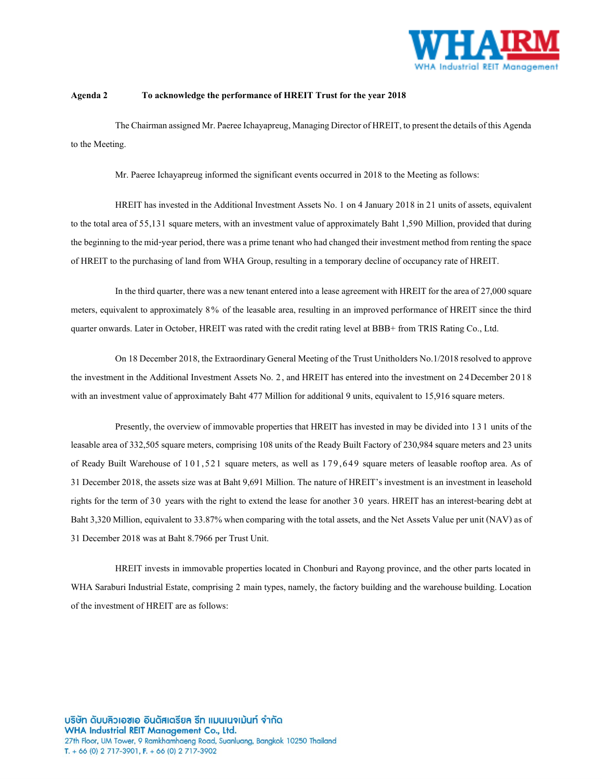

#### **Agenda 2 To acknowledge the performance of HREIT Trust for the year 2018**

The Chairman assigned Mr. Paeree Ichayapreug, Managing Director of HREIT, to present the details of this Agenda to the Meeting.

Mr. Paeree Ichayapreug informed the significant events occurred in 2018 to the Meeting as follows:

HREIT has invested in the Additional Investment Assets No. 1 on 4 January 2018in 21 units of assets, equivalent to the total area of 55,131 square meters, with an investment value of approximately Baht 1,590 Million, provided that during the beginning to the mid-year period, there was a prime tenant who had changed their investment method from renting the space of HREIT to the purchasing of land from WHA Group, resulting in a temporary decline of occupancy rate of HREIT.

In the third quarter, there was a new tenant entered into a lease agreement with HREIT for the area of 27,000 square meters, equivalent to approximately 8 % of the leasable area, resulting in an improved performance of HREIT since the third quarter onwards. Later in October, HREIT was rated with the credit rating level at BBB+ from TRIS Rating Co., Ltd.

On 18 December 2018, the Extraordinary General Meeting of the Trust Unitholders No.1/2018 resolved to approve the investment in the Additional Investment Assets No. 2, and HREIT has entered into the investment on 2 4December 2018 with an investment value of approximately Baht 477 Million for additional 9 units, equivalent to 15,916 square meters.

Presently, the overview of immovable properties that HREIT has invested in may be divided into 131 units of the leasable area of 332,505 square meters, comprising 108 units of the Ready Built Factory of 230,984 square meters and 23 units of Ready Built Warehouse of 1 0 1 ,521 square meters, as well as 1 7 9 ,6 49 square meters of leasable rooftop area. As of 31 December 2018, the assets size was at Baht 9,691 Million. The nature of HREIT's investment is an investment in leasehold rights for the term of 30 years with the right to extend the lease for another 30 years. HREIT has an interest-bearing debt at Baht 3,320 Million, equivalent to 33.87% when comparing with the total assets, and the Net Assets Value per unit (NAV) as of 31 December 2018 was at Baht 8.7966 per Trust Unit.

HREIT invests in immovable properties located in Chonburi and Rayong province, and the other parts located in WHA Saraburi Industrial Estate, comprising 2 main types, namely, the factory building and the warehouse building. Location of the investment of HREIT are as follows: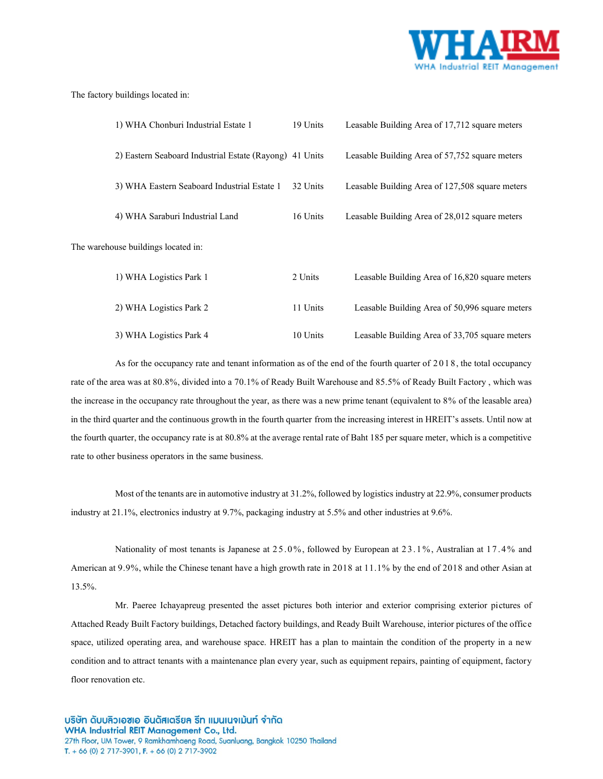

#### The factory buildings located in:

| 1) WHA Chonburi Industrial Estate 1                     | 19 Units | Leasable Building Area of 17,712 square meters  |
|---------------------------------------------------------|----------|-------------------------------------------------|
| 2) Eastern Seaboard Industrial Estate (Rayong) 41 Units |          | Leasable Building Area of 57,752 square meters  |
| 3) WHA Eastern Seaboard Industrial Estate 1             | 32 Units | Leasable Building Area of 127,508 square meters |
| 4) WHA Saraburi Industrial Land                         | 16 Units | Leasable Building Area of 28,012 square meters  |
| The warehouse buildings located in:                     |          |                                                 |

| 1) WHA Logistics Park 1 | 2 Units  | Leasable Building Area of 16,820 square meters |
|-------------------------|----------|------------------------------------------------|
| 2) WHA Logistics Park 2 | 11 Units | Leasable Building Area of 50,996 square meters |
| 3) WHA Logistics Park 4 | 10 Units | Leasable Building Area of 33,705 square meters |

As for the occupancy rate and tenant information as of the end of the fourth quarter of 2018, the total occupancy rate of the area was at 80.8%, divided into a 70.1% of Ready Built Warehouse and 85.5% of Ready Built Factory , which was the increase in the occupancy rate throughout the year, as there was a new prime tenant (equivalent to 8% of the leasable area) in the third quarter and the continuous growth in the fourth quarter from the increasing interest in HREIT's assets. Until now at the fourth quarter, the occupancy rate is at 80.8% at the average rental rate of Baht 185 per square meter, which is a competitive rate to other business operators in the same business.

Most of the tenants are in automotive industry at 31.2%, followed by logistics industry at 22.9%, consumer products industry at 21.1%, electronics industry at 9.7%, packaging industry at 5.5% and other industries at 9.6%.

Nationality of most tenants is Japanese at 25.0%, followed by European at 23.1%, Australian at 17.4% and American at 9.9%, while the Chinese tenant have a high growth rate in 2018 at 11.1% by the end of 2018 and other Asian at 13.5%.

Mr. Paeree Ichayapreug presented the asset pictures both interior and exterior comprising exterior pictures of Attached Ready Built Factory buildings, Detached factory buildings, and Ready Built Warehouse, interior pictures of the office space, utilized operating area, and warehouse space. HREIT has a plan to maintain the condition of the property in a new condition and to attract tenants with a maintenance plan every year, such as equipment repairs, painting of equipment, factory floor renovation etc.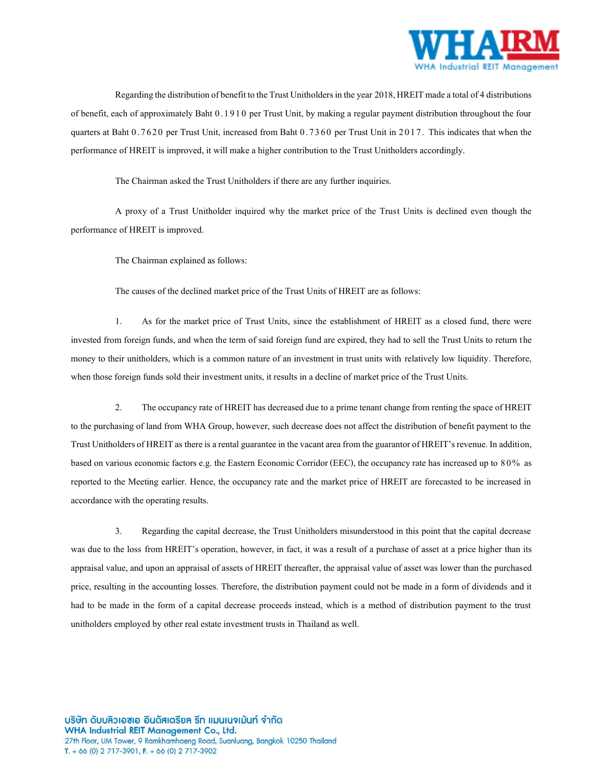

Regarding the distribution of benefit to the Trust Unitholders in the year 2018, HREIT made a total of 4 distributions of benefit, each of approximately Baht 0 .1 9 1 0 per Trust Unit, by making a regular payment distribution throughout the four quarters at Baht 0.7620 per Trust Unit, increased from Baht 0.7360 per Trust Unit in 2017. This indicates that when the performance of HREIT is improved, it will make a higher contribution to the Trust Unitholders accordingly.

The Chairman asked the Trust Unitholders if there are any further inquiries.

A proxy of a Trust Unitholder inquired why the market price of the Trust Units is declined even though the performance of HREIT is improved.

The Chairman explained as follows:

The causes of the declined market price of the Trust Units of HREIT are as follows:

1. As for the market price of Trust Units, since the establishment of HREIT as a closed fund, there were invested from foreign funds, and when the term of said foreign fund are expired, they had to sell the Trust Units to return the money to their unitholders, which is a common nature of an investment in trust units with relatively low liquidity. Therefore, when those foreign funds sold their investment units, it results in a decline of market price of the Trust Units.

2. The occupancy rate of HREIT has decreased due to a prime tenant change from renting the space of HREIT to the purchasing of land from WHA Group, however, such decrease does not affect the distribution of benefit payment to the Trust Unitholders of HREIT as there is a rental guarantee in the vacant area from the guarantor of HREIT's revenue. In addition, based on various economic factors e.g. the Eastern Economic Corridor (EEC), the occupancy rate has increased up to 80% as reported to the Meeting earlier. Hence, the occupancy rate and the market price of HREIT are forecasted to be increased in accordance with the operating results.

3. Regarding the capital decrease, the Trust Unitholders misunderstood in this point that the capital decrease was due to the loss from HREIT's operation, however, in fact, it was a result of a purchase of asset at a price higher than its appraisal value, and upon an appraisal of assets of HREIT thereafter, the appraisal value of asset was lower than the purchased price, resulting in the accounting losses. Therefore, the distribution payment could not be made in a form of dividends and it had to be made in the form of a capital decrease proceeds instead, which is a method of distribution payment to the trust unitholders employed by other real estate investment trusts in Thailand as well.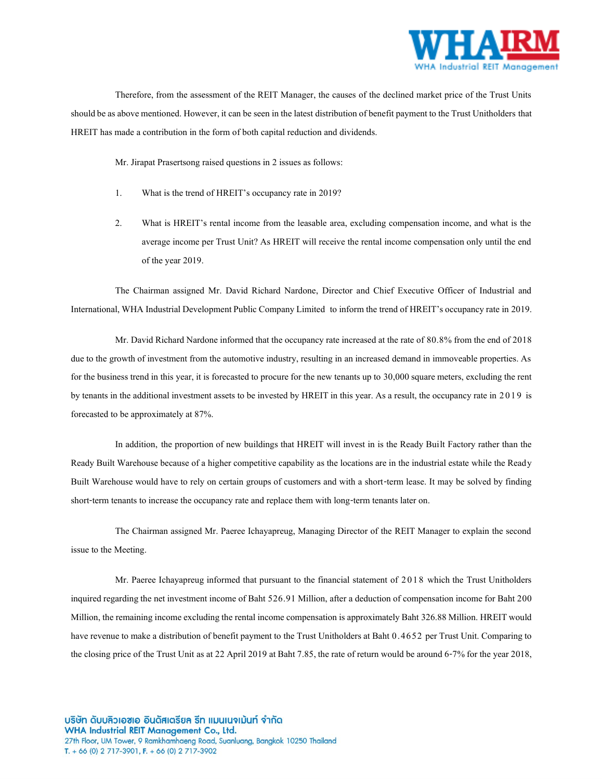

Therefore, from the assessment of the REIT Manager, the causes of the declined market price of the Trust Units should be as above mentioned. However, it can be seen in the latest distribution of benefit payment to the Trust Unitholders that HREIT has made a contribution in the form of both capital reduction and dividends.

Mr. Jirapat Prasertsong raised questions in 2 issues as follows:

- 1. What is the trend of HREIT's occupancy rate in 2019?
- 2. What is HREIT's rental income from the leasable area, excluding compensation income, and what is the average income per Trust Unit? As HREIT will receive the rental income compensation only until the end of the year 2019.

The Chairman assigned Mr. David Richard Nardone, Director and Chief Executive Officer of Industrial and International, WHA Industrial Development Public Company Limited to inform the trend of HREIT's occupancy rate in 2019.

Mr. David Richard Nardone informed that the occupancy rate increased at the rate of 80.8% from the end of 2018 due to the growth of investment from the automotive industry, resulting in an increased demand in immoveable properties. As for the business trend in this year, it is forecasted to procure for the new tenants up to 30,000 square meters, excluding the rent by tenants in the additional investment assets to be invested by HREIT in this year. As a result, the occupancy rate in 2019 is forecasted to be approximately at 87%.

In addition, the proportion of new buildings that HREIT will invest in is the Ready Built Factory rather than the Ready Built Warehouse because of a higher competitive capability as the locations are in the industrial estate while the Ready Built Warehouse would have to rely on certain groups of customers and with a short-term lease. It may be solved by finding short-term tenants to increase the occupancy rate and replace them with long-term tenants later on.

The Chairman assigned Mr. Paeree Ichayapreug, Managing Director of the REIT Manager to explain the second issue to the Meeting.

Mr. Paeree Ichayapreug informed that pursuant to the financial statement of 2018 which the Trust Unitholders inquired regarding the net investment income of Baht 526.91 Million, after a deduction of compensation income for Baht 200 Million, the remaining income excluding the rental income compensation is approximately Baht 326.88Million. HREIT would have revenue to make a distribution of benefit payment to the Trust Unitholders at Baht 0.4652 per Trust Unit. Comparing to the closing price of the Trust Unit as at 22 April 2019 at Baht 7.85, the rate of return would be around 6-7% for the year 2018,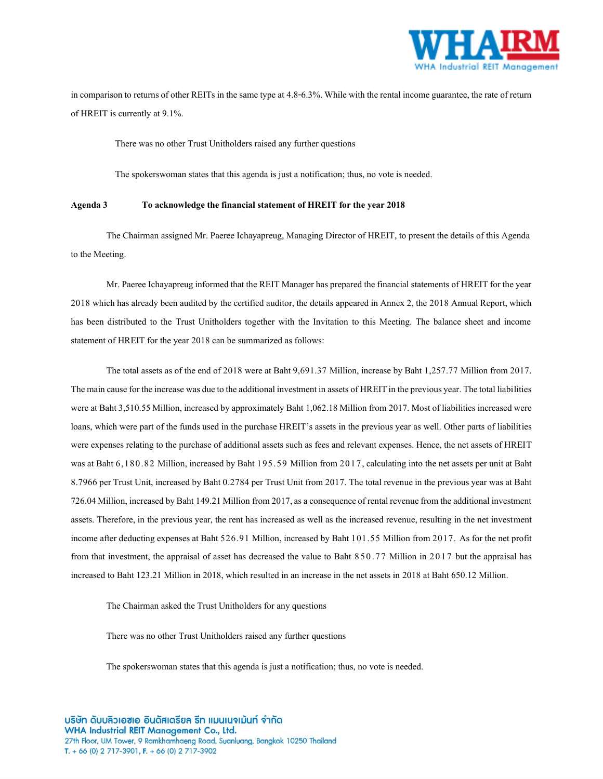

in comparison to returns of other REITs in the same type at 4.8-6.3%. While with the rental income guarantee, the rate of return of HREIT is currently at 9.1%.

There was no other Trust Unitholders raised any further questions

The spokerswoman states that this agenda is just a notification; thus, no vote is needed.

#### **Agenda 3 To acknowledge the financial statement of HREIT for the year 2018**

The Chairman assigned Mr. Paeree Ichayapreug, Managing Director of HREIT, to present the details of this Agenda to the Meeting.

Mr. Paeree Ichayapreug informed that the REIT Manager has prepared the financial statements of HREIT for the year 2018 which has already been audited by the certified auditor, the details appeared in Annex 2, the 2018 Annual Report, which has been distributed to the Trust Unitholders together with the Invitation to this Meeting. The balance sheet and income statement of HREIT for the year 2018 can be summarized as follows:

The total assets as of the end of 2018 were at Baht 9,691.37 Million, increase by Baht 1,257.77 Million from 2017. The main cause for the increase was due to the additional investment in assets of HREIT in the previous year. The total liabilities were at Baht 3,510.55Million, increased by approximately Baht 1,062.18Million from 2017. Most of liabilities increased were loans, which were part of the funds used in the purchase HREIT's assets in the previous year as well. Other parts of liabilities were expenses relating to the purchase of additional assets such as fees and relevant expenses. Hence, the net assets of HREIT was at Baht 6,180.82 Million, increased by Baht 195.59 Million from 2017, calculating into the net assets per unit at Baht 8.7966 per Trust Unit, increased by Baht 0.2784 per Trust Unit from 2017. The total revenue in the previous year was at Baht 726.04Million, increased by Baht 149.21Million from 2017, as a consequence of rental revenue from the additional investment assets. Therefore, in the previous year, the rent has increased as well as the increased revenue, resulting in the net investment income after deducting expenses at Baht 526.91 Million, increased by Baht 101.55 Million from 2017. As for the net profit from that investment, the appraisal of asset has decreased the value to Baht 850.77 Million in 2017 but the appraisal has increased to Baht 123.21 Million in 2018, which resulted in an increase in the net assets in 2018 at Baht 650.12 Million.

The Chairman asked the Trust Unitholders for any questions

There was no other Trust Unitholders raised any further questions

The spokerswoman states that this agenda is just a notification; thus, no vote is needed.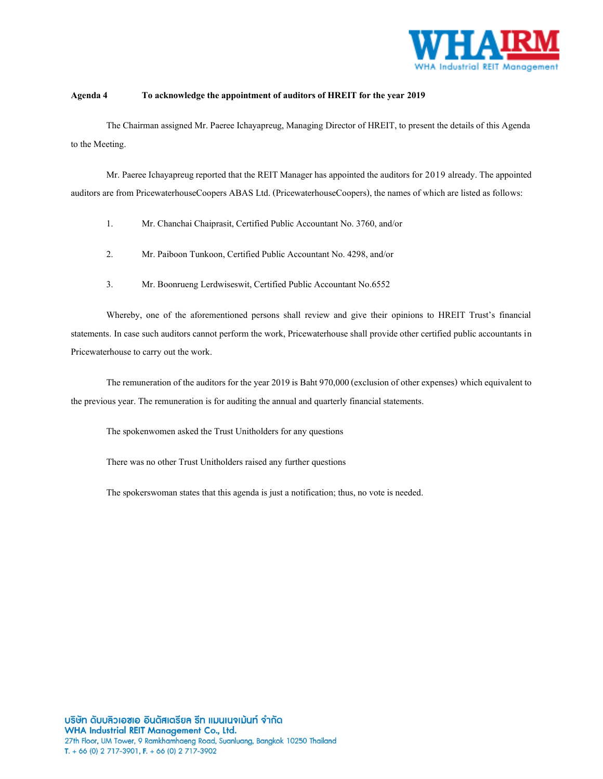

## **Agenda 4 To acknowledge the appointment of auditors of HREIT for the year 2019**

The Chairman assigned Mr. Paeree Ichayapreug, Managing Director of HREIT, to present the details of this Agenda to the Meeting.

Mr. Paeree Ichayapreug reported that the REIT Manager has appointed the auditors for 2019 already. The appointed auditors are from PricewaterhouseCoopers ABAS Ltd. (PricewaterhouseCoopers), the names of which are listed as follows:

- 1. Mr. Chanchai Chaiprasit, Certified Public Accountant No. 3760, and/or
- 2. Mr. Paiboon Tunkoon, Certified Public Accountant No. 4298, and/or
- 3. Mr. Boonrueng Lerdwiseswit, Certified Public Accountant No.6552

Whereby, one of the aforementioned persons shall review and give their opinions to HREIT Trust's financial statements. In case such auditors cannot perform the work, Pricewaterhouse shall provide other certified public accountants in Pricewaterhouse to carry out the work.

The remuneration of the auditors for the year 2019 is Baht 970,000 (exclusion of other expenses) which equivalent to the previous year. The remuneration is for auditing the annual and quarterly financial statements.

The spokenwomen asked the Trust Unitholders for any questions

There was no other Trust Unitholders raised any further questions

The spokerswoman states that this agenda is just a notification; thus, no vote is needed.